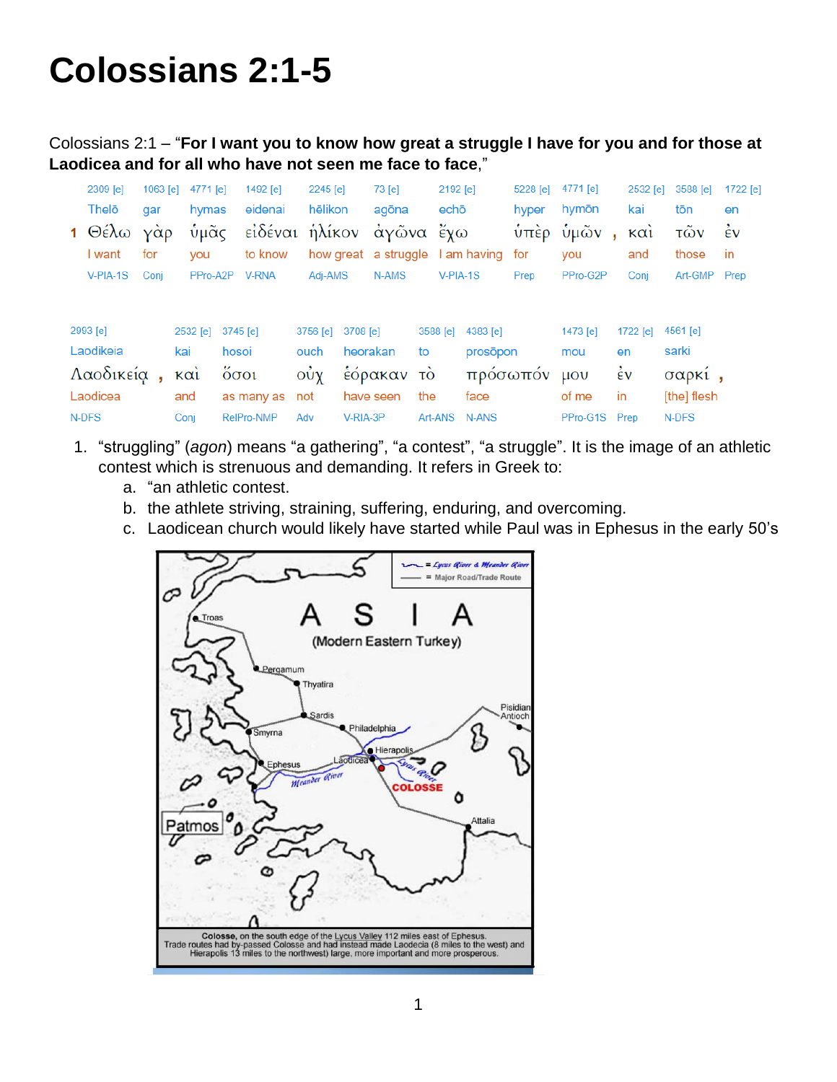# **Colossians 2:1-5**

Colossians 2:1 – "**For I want you to know how great a struggle I have for you and for those at Laodicea and for all who have not seen me face to face**,"

|           | 2309 [e]   | 1063 [e] | 4771 [e]    |              | 1492 $[e]$     | 2245 [e] |            | $73$ [e]  |          | 2192 [e]                         | 5228 [e]        | 4771 [e]                      | 2532 [e]                     | 3588 [e]     | 1722 [e] |
|-----------|------------|----------|-------------|--------------|----------------|----------|------------|-----------|----------|----------------------------------|-----------------|-------------------------------|------------------------------|--------------|----------|
|           | Thelō      | gar      | hymas       |              | eidenai        | hēlikon  |            | agōna     |          | echō                             | hyper           | hymōn                         | kai                          | tōn          | en       |
|           | 1 Θέλω     | γάρ      | ὑμᾶς        |              | εἰδέναι ἡλίκον |          |            | άγῶνα ἔχω |          |                                  | $\dot{\nu}$ περ | ὑμῶν                          | $K\alpha$ <sub>1</sub><br>×. | τῶν          | έv       |
|           | I want     | for      | you         |              | to know        |          |            |           |          | how great a struggle I am having | for             | you                           | and                          | those        | -in      |
|           | $V-PIA-1S$ | Conj     |             | PPro-A2P     | <b>V-RNA</b>   | Adj-AMS  |            | N-AMS     |          | $V-PIA-1S$                       | Prep            | PPro-G2P                      | Conj                         | Art-GMP Prep |          |
|           | 2993 [e]   |          | 2532 [e]    |              | 3745 [e]       | 3756 [e] | 3708 [e]   |           | 3588 [e] | 4383 [e]                         |                 | 1473 [e]                      | 1722 [e]                     | 4561 [e]     |          |
|           | Laodikeia  |          | kai         | hosoi        |                | ouch     |            | heorakan  | to       | prosōpon                         |                 | mou                           | en                           | sarki        |          |
| Λαοδικεία |            |          | $k\alpha i$ | $\delta$ oot |                | οὐχ      | έόρακαν τὸ |           |          | πρόσωπόν                         |                 | $\mu$ <sub>O</sub> $\upsilon$ | $\dot{\epsilon}$ v           | σαρκι,       |          |
|           | Laodicea   |          | and         |              | as many as     | not      |            | have seen | the      | face                             |                 | of me                         | in                           | [the] flesh  |          |
|           | N-DFS      |          | Conj        |              | RelPro-NMP     | Adv      | V-RIA-3P   |           |          | Art-ANS N-ANS                    |                 | PPro-G1S Prep                 |                              | N-DFS        |          |

- 1. "struggling" (*agon*) means "a gathering", "a contest", "a struggle". It is the image of an athletic contest which is strenuous and demanding. It refers in Greek to:
	- a. "an athletic contest.
	- b. the athlete striving, straining, suffering, enduring, and overcoming.
	- c. Laodicean church would likely have started while Paul was in Ephesus in the early 50's

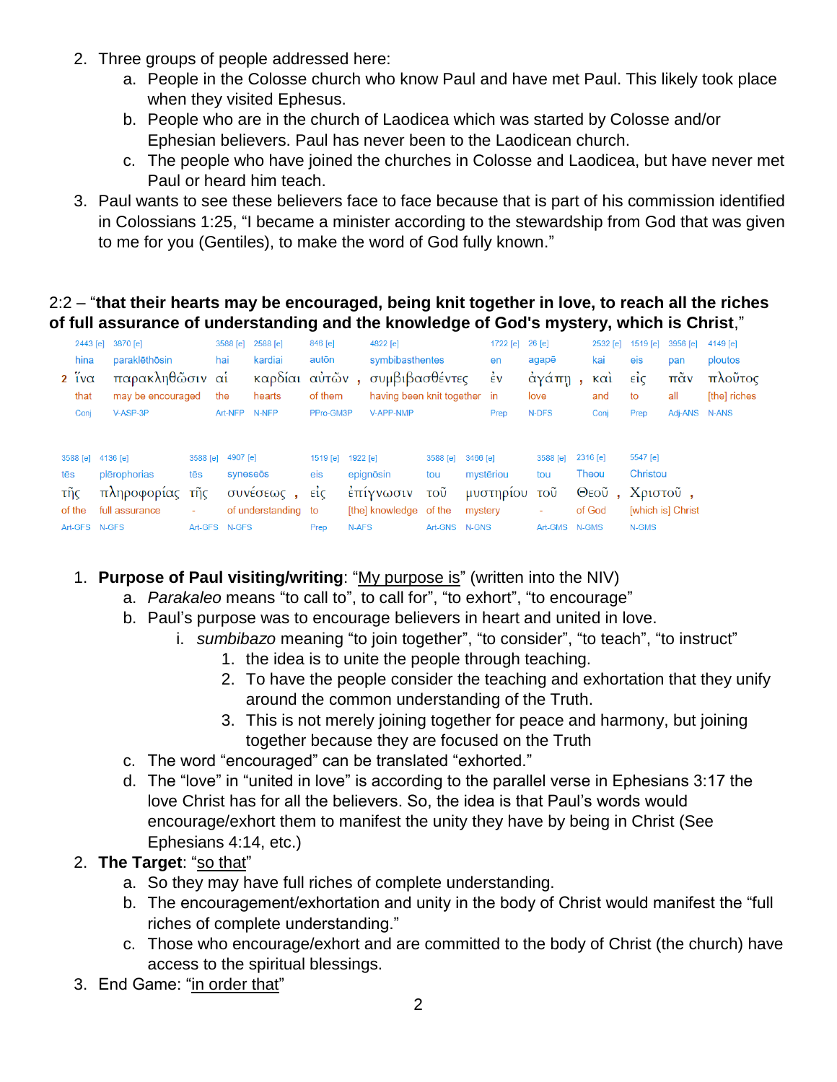- 2. Three groups of people addressed here:
	- a. People in the Colosse church who know Paul and have met Paul. This likely took place when they visited Ephesus.
	- b. People who are in the church of Laodicea which was started by Colosse and/or Ephesian believers. Paul has never been to the Laodicean church.
	- c. The people who have joined the churches in Colosse and Laodicea, but have never met Paul or heard him teach.
- 3. Paul wants to see these believers face to face because that is part of his commission identified in Colossians 1:25, "I became a minister according to the stewardship from God that was given to me for you (Gentiles), to make the word of God fully known."

## 2:2 – "**that their hearts may be encouraged, being knit together in love, to reach all the riches of full assurance of understanding and the knowledge of God's mystery, which is Christ**,"

|     |                        | 2443 [e] 3870 [e]                        |          | 3588 [e]      | 2588 [e]            | 846 [e]         |          | 4822 [e]                     | 1722 [e] 26 [e] |           |                |                |     | 2532 [e]          | 1519 [e]            | 3956 [e]                | 4149 [e] |
|-----|------------------------|------------------------------------------|----------|---------------|---------------------|-----------------|----------|------------------------------|-----------------|-----------|----------------|----------------|-----|-------------------|---------------------|-------------------------|----------|
|     | hina                   | paraklēthōsin<br>hai<br>autōn<br>kardiai |          |               |                     | symbibasthentes |          |                              |                 | en        | kai<br>agapē   |                |     | eis               | pan                 | ploutos                 |          |
|     | $2 \frac{v}{1}v\alpha$ | παρακληθῶσιν αἱ                          |          |               | καρδίαι             | αὐτῶν,          |          |                              | συμβιβασθέντες  |           | $\frac{1}{2}v$ | άγάπη,         |     | $\kappa$ $\alpha$ | $\vec{\epsilon}$ ic | $\pi\tilde{\alpha}v$    | πλοῦτος  |
|     | that                   | may be encouraged                        |          | the           | hearts              | of them         |          | having been knit together in |                 |           | love           |                | and | to                | all                 | [the] riches            |          |
|     | Conj                   | V-ASP-3P                                 |          | Art-NFP       | N-NFP               | PPro-GM3P       |          | V-APP-NMP                    |                 |           | Prep           | N-DFS          |     | Conj              | Prep                | Adj-ANS N-ANS           |          |
|     |                        |                                          |          |               |                     |                 |          |                              |                 |           |                |                |     |                   |                     |                         |          |
|     |                        | 3588 [e] 4136 [e]                        | 3588 [e] | 4907 [e]      |                     | 1519 [e]        | 1922 [e] |                              | 3588 [e]        | 3466 [e]  |                | 3588 [e]       |     | 2316 [e]          | 5547 [e]            |                         |          |
| tēs |                        | plērophorias                             | tēs      | syneseös      |                     | eis             |          | epignōsin                    | tou             | mystēriou |                | tou            |     | Theou             | Christou            |                         |          |
| τῆς |                        | πληροφορίας                              | τῆς      |               | συνέσεως,           | $ε$ ίς          |          | έπίγνωσιν                    | τοῦ             |           | μυστηρίου      | τοῦ            |     |                   | Θεοῦ, Χριστοῦ,      |                         |          |
|     | of the                 | full assurance                           | ٠        |               | of understanding to |                 |          | [the] knowledge of the       |                 | mystery   |                | $\blacksquare$ |     | of God            |                     | <b>Iwhich is Christ</b> |          |
|     | Art-GFS N-GFS          |                                          |          | Art-GFS N-GFS |                     | Prep            | N-AFS    |                              | Art-GNS N-GNS   |           |                | Art-GMS N-GMS  |     |                   | N-GMS               |                         |          |

## 1. **Purpose of Paul visiting/writing**: "My purpose is" (written into the NIV)

- a. *Parakaleo* means "to call to", to call for", "to exhort", "to encourage"
- b. Paul's purpose was to encourage believers in heart and united in love.
	- i. *sumbibazo* meaning "to join together", "to consider", "to teach", "to instruct"
		- 1. the idea is to unite the people through teaching.
		- 2. To have the people consider the teaching and exhortation that they unify around the common understanding of the Truth.
		- 3. This is not merely joining together for peace and harmony, but joining together because they are focused on the Truth
- c. The word "encouraged" can be translated "exhorted."
- d. The "love" in "united in love" is according to the parallel verse in Ephesians 3:17 the love Christ has for all the believers. So, the idea is that Paul's words would encourage/exhort them to manifest the unity they have by being in Christ (See Ephesians 4:14, etc.)
- 2. **The Target**: "so that"
	- a. So they may have full riches of complete understanding.
	- b. The encouragement/exhortation and unity in the body of Christ would manifest the "full riches of complete understanding."
	- c. Those who encourage/exhort and are committed to the body of Christ (the church) have access to the spiritual blessings.
- 3. End Game: "in order that"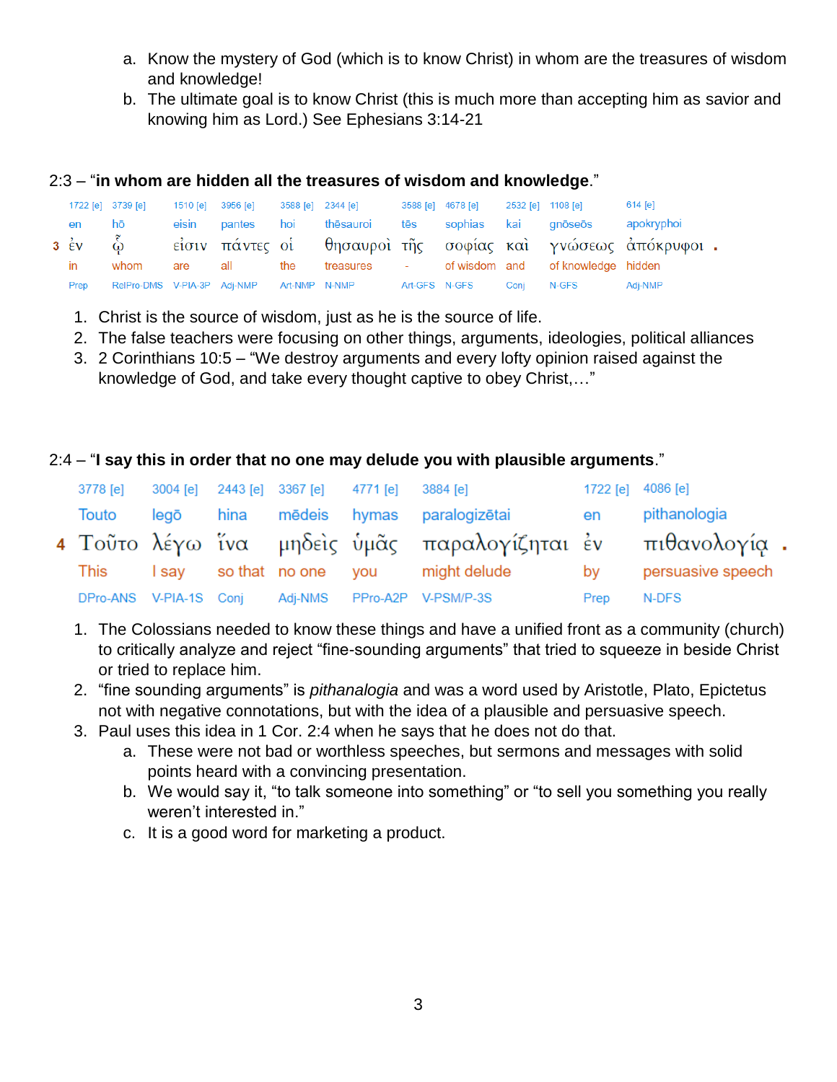- a. Know the mystery of God (which is to know Christ) in whom are the treasures of wisdom and knowledge!
- b. The ultimate goal is to know Christ (this is much more than accepting him as savior and knowing him as Lord.) See Ephesians 3:14-21

### 2:3 – "**in whom are hidden all the treasures of wisdom and knowledge**."

|      | 1722 [e] 3739 [e]                         | 1510 [e] 3956 [e] |        |     | 3588 [e] 2344 [e] | 3588 [e] 4678 [e] |             | 2532 [e] 1108 [e] |                                               | 614 [e]                                                           |  |
|------|-------------------------------------------|-------------------|--------|-----|-------------------|-------------------|-------------|-------------------|-----------------------------------------------|-------------------------------------------------------------------|--|
| en   | hō                                        | eisin             | pantes | hoi | thēsauroi         | tēs               | sophias kai |                   | gnōseōs                                       | apokryphoi                                                        |  |
|      |                                           |                   |        |     |                   |                   |             |                   |                                               | 3 έν ω είσιν πάντες οί θησαυροί της σοφίας και γνώσεως άπόκρυφοι. |  |
| in   | whom                                      | are               | all    | the |                   |                   |             |                   | treasures - of wisdom and of knowledge hidden |                                                                   |  |
| Prep | RelPro-DMS V-PIA-3P Adj-NMP Art-NMP N-NMP |                   |        |     |                   | Art-GFS N-GFS     |             | Coni              | N-GFS                                         | Adi-NMP                                                           |  |

- 1. Christ is the source of wisdom, just as he is the source of life.
- 2. The false teachers were focusing on other things, arguments, ideologies, political alliances
- 3. 2 Corinthians 10:5 "We destroy arguments and every lofty opinion raised against the knowledge of God, and take every thought captive to obey Christ,…"

### 2:4 – "**I say this in order that no one may delude you with plausible arguments**."

|       |  | 3778 [e] 3004 [e] 2443 [e] 3367 [e] 4771 [e] 3884 [e] |                                                            | 1722 [e] 4086 [e] |                   |
|-------|--|-------------------------------------------------------|------------------------------------------------------------|-------------------|-------------------|
| Touto |  |                                                       | legō hina mēdeis hymas paralogizētai                       | en                | pithanologia      |
|       |  |                                                       | 4 Τοῦτο λέγω ἴνα μηδεὶς ὑμᾶς παραλογίζηται ἐν πιθανολογία. |                   |                   |
|       |  |                                                       | This I say so that no one you might delude                 | by                | persuasive speech |
|       |  |                                                       | DPro-ANS V-PIA-1S Conj Adj-NMS PPro-A2P V-PSM/P-3S         | Prep              | N-DFS             |

- 1. The Colossians needed to know these things and have a unified front as a community (church) to critically analyze and reject "fine-sounding arguments" that tried to squeeze in beside Christ or tried to replace him.
- 2. "fine sounding arguments" is *pithanalogia* and was a word used by Aristotle, Plato, Epictetus not with negative connotations, but with the idea of a plausible and persuasive speech.
- 3. Paul uses this idea in 1 Cor. 2:4 when he says that he does not do that.
	- a. These were not bad or worthless speeches, but sermons and messages with solid points heard with a convincing presentation.
	- b. We would say it, "to talk someone into something" or "to sell you something you really weren't interested in."
	- c. It is a good word for marketing a product.